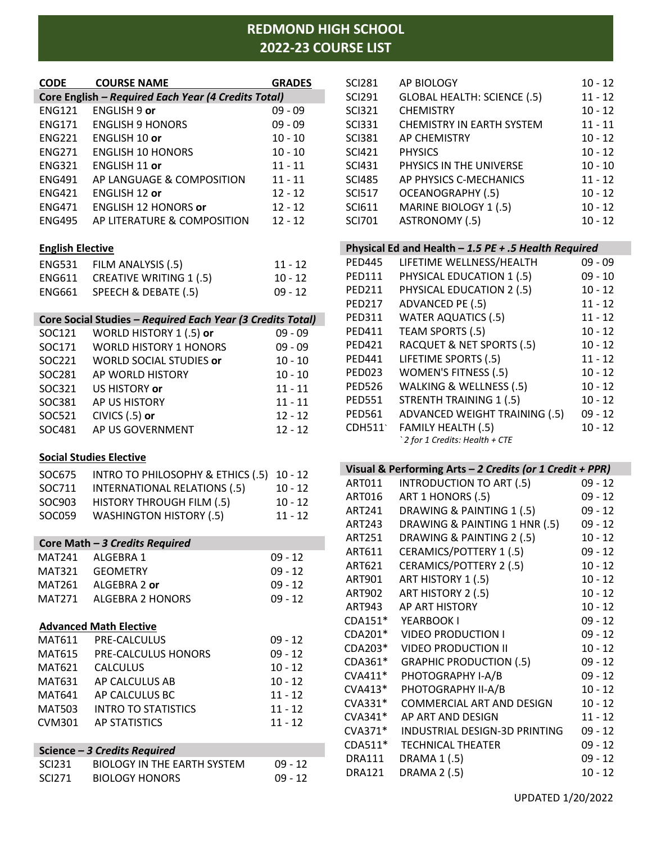# **REDMOND HIGH SCHOOL 2022-23 COURSE LIST**

| <b>CODE</b>             | <b>COURSE NAME</b>                                         | <b>GRADES</b> |
|-------------------------|------------------------------------------------------------|---------------|
|                         | Core English - Required Each Year (4 Credits Total)        |               |
| <b>ENG121</b>           | <b>ENGLISH 9 or</b>                                        | $09 - 09$     |
| <b>ENG171</b>           | <b>ENGLISH 9 HONORS</b>                                    | $09 - 09$     |
| <b>ENG221</b>           | <b>ENGLISH 10 or</b>                                       | $10 - 10$     |
| <b>ENG271</b>           | <b>ENGLISH 10 HONORS</b>                                   | $10 - 10$     |
|                         | ENG321 ENGLISH 11 or                                       | $11 - 11$     |
| <b>ENG491</b>           | AP LANGUAGE & COMPOSITION                                  | $11 - 11$     |
| <b>ENG421</b>           | ENGLISH 12 or                                              | $12 - 12$     |
| <b>ENG471</b>           | <b>ENGLISH 12 HONORS or</b>                                | $12 - 12$     |
| <b>ENG495</b>           | AP LITERATURE & COMPOSITION                                | $12 - 12$     |
| <b>English Elective</b> |                                                            |               |
| <b>ENG531</b>           | FILM ANALYSIS (.5)                                         | $11 - 12$     |
|                         | ENG611 CREATIVE WRITING 1 (.5)                             | $10 - 12$     |
| <b>ENG661</b>           | SPEECH & DEBATE (.5)                                       | $09 - 12$     |
|                         |                                                            |               |
|                         | Core Social Studies - Required Each Year (3 Credits Total) |               |
| SOC121                  | WORLD HISTORY 1 (.5) or                                    | $09 - 09$     |
| SOC171                  | <b>WORLD HISTORY 1 HONORS</b>                              | $09 - 09$     |
| SOC221                  | <b>WORLD SOCIAL STUDIES or</b>                             | $10 - 10$     |
| SOC281                  | AP WORLD HISTORY                                           | $10 - 10$     |
| SOC321                  | US HISTORY or                                              | $11 - 11$     |
|                         | SOC381 AP US HISTORY                                       | $11 - 11$     |
| SOC521                  | CIVICS $(.5)$ or                                           | $12 - 12$     |
| SOC481                  | AP US GOVERNMENT                                           | $12 - 12$     |
|                         | <b>Social Studies Elective</b>                             |               |
| SOC675                  | INTRO TO PHILOSOPHY & ETHICS (.5)                          | $10 - 12$     |
| SOC711                  | <b>INTERNATIONAL RELATIONS (.5)</b>                        | $10 - 12$     |
| SOC903                  | HISTORY THROUGH FILM (.5)                                  | $10 - 12$     |
| SOC059                  | <b>WASHINGTON HISTORY (.5)</b>                             | $11 - 12$     |
|                         |                                                            |               |
|                         | Core Math - 3 Credits Required                             |               |
| <b>MAT241</b>           | ALGEBRA 1                                                  | $09 - 12$     |
| <b>MAT321</b>           | <b>GEOMETRY</b>                                            | $09 - 12$     |
| MAT261                  | ALGEBRA 2 or                                               | $09 - 12$     |
| <b>MAT271</b>           | <b>ALGEBRA 2 HONORS</b>                                    | $09 - 12$     |
|                         | <b>Advanced Math Elective</b>                              |               |
| MAT611                  | PRE-CALCULUS                                               | $09 - 12$     |
| <b>MAT615</b>           | PRE-CALCULUS HONORS                                        | $09 - 12$     |
| MAT621                  | <b>CALCULUS</b>                                            | $10 - 12$     |
| MAT631                  | AP CALCULUS AB                                             | $10 - 12$     |
| MAT641                  | AP CALCULUS BC                                             | $11 - 12$     |
| <b>MAT503</b>           | <b>INTRO TO STATISTICS</b>                                 | $11 - 12$     |
| CVM301                  | <b>AP STATISTICS</b>                                       | $11 - 12$     |
|                         |                                                            |               |
|                         | Science - 3 Credits Required                               |               |
| <b>SCI231</b>           | <b>BIOLOGY IN THE EARTH SYSTEM</b>                         | 09 - 12       |
| <b>SCI271</b>           | <b>BIOLOGY HONORS</b>                                      | $09 - 12$     |

| <b>SCI281</b> | AP BIOLOGY                         | $10 - 12$ |
|---------------|------------------------------------|-----------|
| <b>SCI291</b> | <b>GLOBAL HEALTH: SCIENCE (.5)</b> | $11 - 12$ |
| <b>SCI321</b> | <b>CHEMISTRY</b>                   | $10 - 12$ |
| <b>SCI331</b> | <b>CHEMISTRY IN EARTH SYSTEM</b>   | $11 - 11$ |
| <b>SCI381</b> | <b>AP CHEMISTRY</b>                | $10 - 12$ |
| <b>SCI421</b> | <b>PHYSICS</b>                     | $10 - 12$ |
| <b>SCI431</b> | PHYSICS IN THE UNIVERSE            | $10 - 10$ |
| <b>SCI485</b> | AP PHYSICS C-MECHANICS             | $11 - 12$ |
| <b>SCI517</b> | <b>OCEANOGRAPHY (.5)</b>           | $10 - 12$ |
| <b>SCI611</b> | MARINE BIOLOGY 1 (.5)              | $10 - 12$ |
| <b>SCI701</b> | ASTRONOMY (.5)                     | $10 - 12$ |
|               |                                    |           |

## **Physical Ed and Health –** *1.5 PE + .5 Health Required*

| <b>PED445</b> | LIFETIME WELLNESS/HEALTH             | $09 - 09$ |
|---------------|--------------------------------------|-----------|
| <b>PED111</b> | PHYSICAL EDUCATION 1 (.5)            | $09 - 10$ |
| <b>PED211</b> | PHYSICAL EDUCATION 2 (.5)            | $10 - 12$ |
| <b>PED217</b> | ADVANCED PE (.5)                     | $11 - 12$ |
| <b>PED311</b> | <b>WATER AQUATICS (.5)</b>           | $11 - 12$ |
| <b>PED411</b> | TEAM SPORTS (.5)                     | $10 - 12$ |
| <b>PED421</b> | RACQUET & NET SPORTS (.5)            | $10 - 12$ |
| <b>PED441</b> | LIFETIME SPORTS (.5)                 | $11 - 12$ |
| <b>PED023</b> | <b>WOMEN'S FITNESS (.5)</b>          | $10 - 12$ |
| <b>PED526</b> | <b>WALKING &amp; WELLNESS (.5)</b>   | $10 - 12$ |
| <b>PED551</b> | <b>STRENTH TRAINING 1 (.5)</b>       | $10 - 12$ |
| <b>PED561</b> | <b>ADVANCED WEIGHT TRAINING (.5)</b> | $09 - 12$ |
| CDH511        | <b>FAMILY HEALTH (.5)</b>            | $10 - 12$ |
|               | 2 for 1 Credits: Health + CTE        |           |

| Visual & Performing Arts - 2 Credits (or 1 Credit + PPR) |                                 |           |  |
|----------------------------------------------------------|---------------------------------|-----------|--|
| ART011                                                   | <b>INTRODUCTION TO ART (.5)</b> | $09 - 12$ |  |
| ART016                                                   | ART 1 HONORS (.5)               | $09 - 12$ |  |
| ART241                                                   | DRAWING & PAINTING 1 (.5)       | $09 - 12$ |  |
| <b>ART243</b>                                            | DRAWING & PAINTING 1 HNR (.5)   | $09 - 12$ |  |
| <b>ART251</b>                                            | DRAWING & PAINTING 2 (.5)       | $10 - 12$ |  |
| ART611                                                   | <b>CERAMICS/POTTERY 1 (.5)</b>  | $09 - 12$ |  |
| ART621                                                   | <b>CERAMICS/POTTERY 2 (.5)</b>  | $10 - 12$ |  |
| ART901                                                   | ART HISTORY 1 (.5)              | $10 - 12$ |  |
| <b>ART902</b>                                            | ART HISTORY 2 (.5)              | $10 - 12$ |  |
| ART943                                                   | <b>AP ART HISTORY</b>           | $10 - 12$ |  |
| CDA151*                                                  | YEARBOOK I                      | $09 - 12$ |  |
| CDA201*                                                  | <b>VIDEO PRODUCTION I</b>       | $09 - 12$ |  |
| CDA203*                                                  | <b>VIDEO PRODUCTION II</b>      | $10 - 12$ |  |
| CDA361*                                                  | <b>GRAPHIC PRODUCTION (.5)</b>  | $09 - 12$ |  |
| $CVA411*$                                                | PHOTOGRAPHY I-A/B               | $09 - 12$ |  |
| CVA413*                                                  | PHOTOGRAPHY II-A/B              | $10 - 12$ |  |
| CVA331*                                                  | COMMERCIAL ART AND DESIGN       | $10 - 12$ |  |

| COMMON    | CONNINIERCIAL ART AND DESIGN  | $117 - 12$ |
|-----------|-------------------------------|------------|
| $CVA341*$ | AP ART AND DESIGN             | $11 - 12$  |
| $CVA371*$ | INDUSTRIAL DESIGN-3D PRINTING | $09 - 12$  |
| $CDA511*$ | <b>TECHNICAL THEATER</b>      | $09 - 12$  |
| DRA111    | DRAMA 1 (.5)                  | $09 - 12$  |
| DRA121    | <b>DRAMA 2 (.5)</b>           | $10 - 12$  |
|           |                               |            |